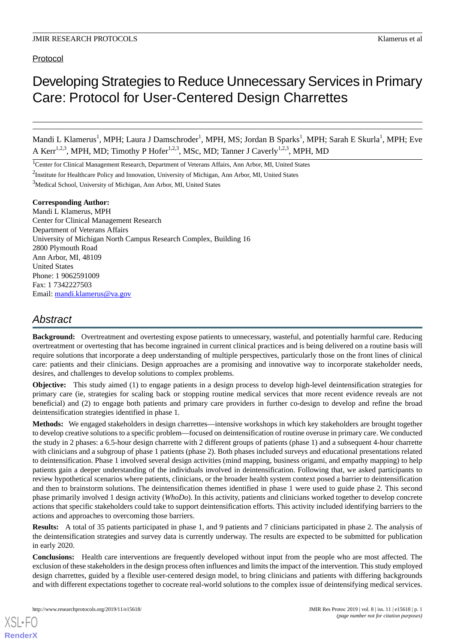# Protocol

# Developing Strategies to Reduce Unnecessary Services in Primary Care: Protocol for User-Centered Design Charrettes

Mandi L Klamerus<sup>1</sup>, MPH; Laura J Damschroder<sup>1</sup>, MPH, MS; Jordan B Sparks<sup>1</sup>, MPH; Sarah E Skurla<sup>1</sup>, MPH; Eve A Kerr<sup>1,2,3</sup>, MPH, MD; Timothy P Hofer<sup>1,2,3</sup>, MSc, MD; Tanner J Caverly<sup>1,2,3</sup>, MPH, MD

<sup>1</sup>Center for Clinical Management Research, Department of Veterans Affairs, Ann Arbor, MI, United States

<sup>2</sup>Institute for Healthcare Policy and Innovation, University of Michigan, Ann Arbor, MI, United States

<sup>3</sup>Medical School, University of Michigan, Ann Arbor, MI, United States

## **Corresponding Author:**

Mandi L Klamerus, MPH Center for Clinical Management Research Department of Veterans Affairs University of Michigan North Campus Research Complex, Building 16 2800 Plymouth Road Ann Arbor, MI, 48109 United States Phone: 1 9062591009 Fax: 1 7342227503 Email: [mandi.klamerus@va.gov](mailto:mandi.klamerus@va.gov)

# *Abstract*

**Background:** Overtreatment and overtesting expose patients to unnecessary, wasteful, and potentially harmful care. Reducing overtreatment or overtesting that has become ingrained in current clinical practices and is being delivered on a routine basis will require solutions that incorporate a deep understanding of multiple perspectives, particularly those on the front lines of clinical care: patients and their clinicians. Design approaches are a promising and innovative way to incorporate stakeholder needs, desires, and challenges to develop solutions to complex problems.

**Objective:** This study aimed (1) to engage patients in a design process to develop high-level deintensification strategies for primary care (ie, strategies for scaling back or stopping routine medical services that more recent evidence reveals are not beneficial) and (2) to engage both patients and primary care providers in further co-design to develop and refine the broad deintensification strategies identified in phase 1.

**Methods:** We engaged stakeholders in design charrettes—intensive workshops in which key stakeholders are brought together to develop creative solutions to a specific problem—focused on deintensification of routine overuse in primary care. We conducted the study in 2 phases: a 6.5-hour design charrette with 2 different groups of patients (phase 1) and a subsequent 4-hour charrette with clinicians and a subgroup of phase 1 patients (phase 2). Both phases included surveys and educational presentations related to deintensification. Phase 1 involved several design activities (mind mapping, business origami, and empathy mapping) to help patients gain a deeper understanding of the individuals involved in deintensification. Following that, we asked participants to review hypothetical scenarios where patients, clinicians, or the broader health system context posed a barrier to deintensification and then to brainstorm solutions. The deintensification themes identified in phase 1 were used to guide phase 2. This second phase primarily involved 1 design activity (*WhoDo*). In this activity, patients and clinicians worked together to develop concrete actions that specific stakeholders could take to support deintensification efforts. This activity included identifying barriers to the actions and approaches to overcoming those barriers.

**Results:** A total of 35 patients participated in phase 1, and 9 patients and 7 clinicians participated in phase 2. The analysis of the deintensification strategies and survey data is currently underway. The results are expected to be submitted for publication in early 2020.

**Conclusions:** Health care interventions are frequently developed without input from the people who are most affected. The exclusion of these stakeholders in the design process often influences and limits the impact of the intervention. This study employed design charrettes, guided by a flexible user-centered design model, to bring clinicians and patients with differing backgrounds and with different expectations together to cocreate real-world solutions to the complex issue of deintensifying medical services.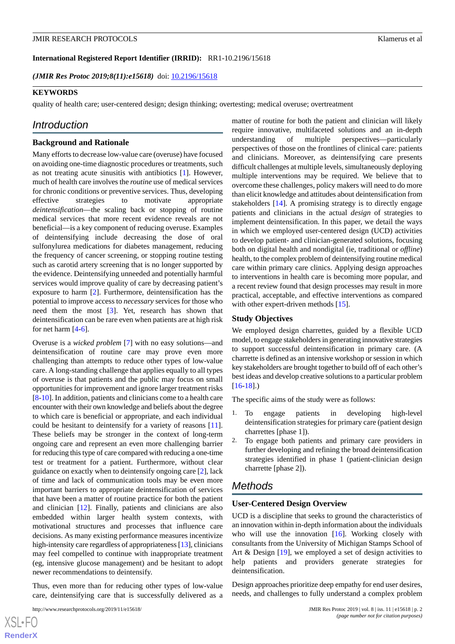**International Registered Report Identifier (IRRID):** RR1-10.2196/15618

*(JMIR Res Protoc 2019;8(11):e15618)* doi:  $10.2196/15618$ 

#### **KEYWORDS**

quality of health care; user-centered design; design thinking; overtesting; medical overuse; overtreatment

# *Introduction*

#### **Background and Rationale**

Many efforts to decrease low-value care (overuse) have focused on avoiding one-time diagnostic procedures or treatments, such as not treating acute sinusitis with antibiotics [[1\]](#page-11-0). However, much of health care involves the *routine* use of medical services for chronic conditions or preventive services. Thus, developing effective strategies to motivate appropriate *deintensification*—the scaling back or stopping of routine medical services that more recent evidence reveals are not beneficial—is a key component of reducing overuse. Examples of deintensifying include decreasing the dose of oral sulfonylurea medications for diabetes management, reducing the frequency of cancer screening, or stopping routine testing such as carotid artery screening that is no longer supported by the evidence. Deintensifying unneeded and potentially harmful services would improve quality of care by decreasing patient's exposure to harm [\[2](#page-11-1)]. Furthermore, deintensification has the potential to improve access to *necessary* services for those who need them the most [[3](#page-11-2)]. Yet, research has shown that deintensification can be rare even when patients are at high risk for net harm [[4-](#page-11-3)[6](#page-11-4)].

Overuse is a *wicked problem* [\[7](#page-11-5)] with no easy solutions—and deintensification of routine care may prove even more challenging than attempts to reduce other types of low-value care. A long-standing challenge that applies equally to all types of overuse is that patients and the public may focus on small opportunities for improvement and ignore larger treatment risks [[8](#page-11-6)[-10](#page-11-7)]. In addition, patients and clinicians come to a health care encounter with their own knowledge and beliefs about the degree to which care is beneficial or appropriate, and each individual could be hesitant to deintensify for a variety of reasons [[11\]](#page-11-8). These beliefs may be stronger in the context of long-term ongoing care and represent an even more challenging barrier for reducing this type of care compared with reducing a one-time test or treatment for a patient. Furthermore, without clear guidance on exactly when to deintensify ongoing care [[2\]](#page-11-1), lack of time and lack of communication tools may be even more important barriers to appropriate deintensification of services that have been a matter of routine practice for both the patient and clinician [\[12](#page-11-9)]. Finally, patients and clinicians are also embedded within larger health system contexts, with motivational structures and processes that influence care decisions. As many existing performance measures incentivize high-intensity care regardless of appropriateness [\[13](#page-11-10)], clinicians may feel compelled to continue with inappropriate treatment (eg, intensive glucose management) and be hesitant to adopt newer recommendations to deintensify.

Thus, even more than for reducing other types of low-value care, deintensifying care that is successfully delivered as a

matter of routine for both the patient and clinician will likely require innovative, multifaceted solutions and an in-depth understanding of multiple perspectives—particularly perspectives of those on the frontlines of clinical care: patients and clinicians. Moreover, as deintensifying care presents difficult challenges at multiple levels, simultaneously deploying multiple interventions may be required. We believe that to overcome these challenges, policy makers will need to do more than elicit knowledge and attitudes about deintensification from stakeholders [\[14](#page-11-11)]. A promising strategy is to directly engage patients and clinicians in the actual *design* of strategies to implement deintensification. In this paper, we detail the ways in which we employed user-centered design (UCD) activities to develop patient- and clinician-generated solutions, focusing both on digital health and nondigital (ie, traditional or *offline*) health, to the complex problem of deintensifying routine medical care within primary care clinics. Applying design approaches to interventions in health care is becoming more popular, and a recent review found that design processes may result in more practical, acceptable, and effective interventions as compared with other expert-driven methods [\[15](#page-11-12)].

#### **Study Objectives**

We employed design charrettes, guided by a flexible UCD model, to engage stakeholders in generating innovative strategies to support successful deintensification in primary care. (A charrette is defined as an intensive workshop or session in which key stakeholders are brought together to build off of each other's best ideas and develop creative solutions to a particular problem  $[16-18]$  $[16-18]$  $[16-18]$  $[16-18]$ .)

The specific aims of the study were as follows:

- 1. To engage patients in developing high-level deintensification strategies for primary care (patient design charrettes [phase 1]).
- 2. To engage both patients and primary care providers in further developing and refining the broad deintensification strategies identified in phase 1 (patient-clinician design charrette [phase 2]).

# *Methods*

#### **User-Centered Design Overview**

UCD is a discipline that seeks to ground the characteristics of an innovation within in-depth information about the individuals who will use the innovation [[16\]](#page-11-13). Working closely with consultants from the University of Michigan Stamps School of Art & Design [\[19](#page-11-15)], we employed a set of design activities to help patients and providers generate strategies for deintensification.

Design approaches prioritize deep empathy for end user desires, needs, and challenges to fully understand a complex problem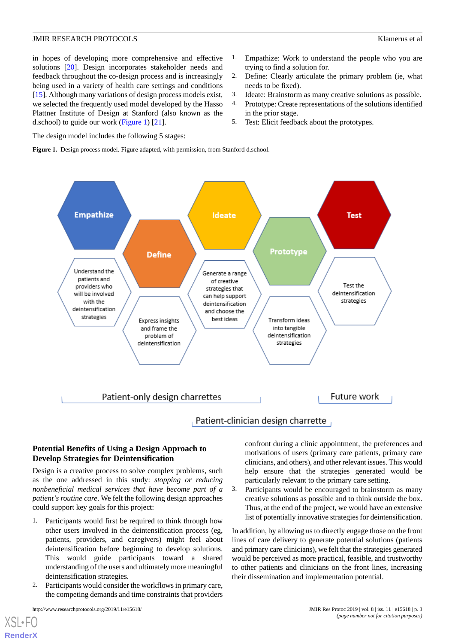in hopes of developing more comprehensive and effective solutions [\[20](#page-12-0)]. Design incorporates stakeholder needs and feedback throughout the co-design process and is increasingly being used in a variety of health care settings and conditions [[15\]](#page-11-12). Although many variations of design process models exist, we selected the frequently used model developed by the Hasso Plattner Institute of Design at Stanford (also known as the d.school) to guide our work [\(Figure 1\)](#page-2-0) [[21\]](#page-12-1).

- 1. Empathize: Work to understand the people who you are trying to find a solution for.
- 2. Define: Clearly articulate the primary problem (ie, what needs to be fixed).
- 3. Ideate: Brainstorm as many creative solutions as possible.
- 4. Prototype: Create representations of the solutions identified in the prior stage.
- 5. Test: Elicit feedback about the prototypes.

<span id="page-2-0"></span>The design model includes the following 5 stages:

**Figure 1.** Design process model. Figure adapted, with permission, from Stanford d.school.



# **Potential Benefits of Using a Design Approach to Develop Strategies for Deintensification**

Design is a creative process to solve complex problems, such as the one addressed in this study: *stopping or reducing nonbeneficial medical services that have become part of a patient's routine care*. We felt the following design approaches could support key goals for this project:

- 1. Participants would first be required to think through how other users involved in the deintensification process (eg, patients, providers, and caregivers) might feel about deintensification before beginning to develop solutions. This would guide participants toward a shared understanding of the users and ultimately more meaningful deintensification strategies.
- 2. Participants would consider the workflows in primary care, the competing demands and time constraints that providers

confront during a clinic appointment, the preferences and motivations of users (primary care patients, primary care clinicians, and others), and other relevant issues. This would help ensure that the strategies generated would be particularly relevant to the primary care setting.

3. Participants would be encouraged to brainstorm as many creative solutions as possible and to think outside the box. Thus, at the end of the project, we would have an extensive list of potentially innovative strategies for deintensification.

In addition, by allowing us to directly engage those on the front lines of care delivery to generate potential solutions (patients and primary care clinicians), we felt that the strategies generated would be perceived as more practical, feasible, and trustworthy to other patients and clinicians on the front lines, increasing their dissemination and implementation potential.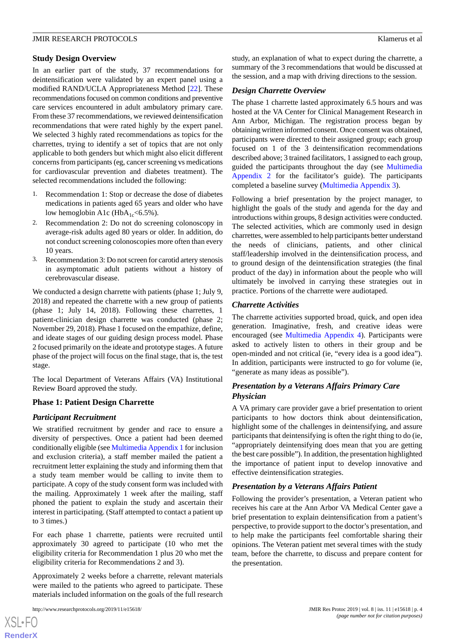## **Study Design Overview**

In an earlier part of the study, 37 recommendations for deintensification were validated by an expert panel using a modified RAND/UCLA Appropriateness Method [[22\]](#page-12-2). These recommendations focused on common conditions and preventive care services encountered in adult ambulatory primary care. From these 37 recommendations, we reviewed deintensification recommendations that were rated highly by the expert panel. We selected 3 highly rated recommendations as topics for the charrettes, trying to identify a set of topics that are not only applicable to both genders but which might also elicit different concerns from participants (eg, cancer screening vs medications for cardiovascular prevention and diabetes treatment). The selected recommendations included the following:

- 1. Recommendation 1: Stop or decrease the dose of diabetes medications in patients aged 65 years and older who have low hemoglobin A1c ( $HbA_{1c}$ <6.5%).
- 2. Recommendation 2: Do not do screening colonoscopy in average-risk adults aged 80 years or older. In addition, do not conduct screening colonoscopies more often than every 10 years.
- 3. Recommendation 3: Do not screen for carotid artery stenosis in asymptomatic adult patients without a history of cerebrovascular disease.

We conducted a design charrette with patients (phase 1; July 9, 2018) and repeated the charrette with a new group of patients (phase 1; July 14, 2018). Following these charrettes, 1 patient-clinician design charrette was conducted (phase 2; November 29, 2018). Phase 1 focused on the empathize, define, and ideate stages of our guiding design process model. Phase 2 focused primarily on the ideate and prototype stages. A future phase of the project will focus on the final stage, that is, the test stage.

The local Department of Veterans Affairs (VA) Institutional Review Board approved the study.

# **Phase 1: Patient Design Charrette**

#### *Participant Recruitment*

We stratified recruitment by gender and race to ensure a diversity of perspectives. Once a patient had been deemed conditionally eligible (see [Multimedia Appendix 1](#page-10-0) for inclusion and exclusion criteria), a staff member mailed the patient a recruitment letter explaining the study and informing them that a study team member would be calling to invite them to participate. A copy of the study consent form was included with the mailing. Approximately 1 week after the mailing, staff phoned the patient to explain the study and ascertain their interest in participating. (Staff attempted to contact a patient up to 3 times.)

For each phase 1 charrette, patients were recruited until approximately 30 agreed to participate (10 who met the eligibility criteria for Recommendation 1 plus 20 who met the eligibility criteria for Recommendations 2 and 3).

Approximately 2 weeks before a charrette, relevant materials were mailed to the patients who agreed to participate. These materials included information on the goals of the full research

[XSL](http://www.w3.org/Style/XSL)•FO **[RenderX](http://www.renderx.com/)** study, an explanation of what to expect during the charrette, a summary of the 3 recommendations that would be discussed at the session, and a map with driving directions to the session.

#### *Design Charrette Overview*

The phase 1 charrette lasted approximately 6.5 hours and was hosted at the VA Center for Clinical Management Research in Ann Arbor, Michigan. The registration process began by obtaining written informed consent. Once consent was obtained, participants were directed to their assigned group; each group focused on 1 of the 3 deintensification recommendations described above; 3 trained facilitators, 1 assigned to each group, guided the participants throughout the day (see [Multimedia](#page-10-1) [Appendix 2](#page-10-1) for the facilitator's guide). The participants completed a baseline survey [\(Multimedia Appendix 3](#page-10-2)).

Following a brief presentation by the project manager, to highlight the goals of the study and agenda for the day and introductions within groups, 8 design activities were conducted. The selected activities, which are commonly used in design charrettes, were assembled to help participants better understand the needs of clinicians, patients, and other clinical staff/leadership involved in the deintensification process, and to ground design of the deintensification strategies (the final product of the day) in information about the people who will ultimately be involved in carrying these strategies out in practice. Portions of the charrette were audiotaped.

#### *Charrette Activities*

The charrette activities supported broad, quick, and open idea generation. Imaginative, fresh, and creative ideas were encouraged (see [Multimedia Appendix 4\)](#page-10-3). Participants were asked to actively listen to others in their group and be open-minded and not critical (ie, "every idea is a good idea"). In addition, participants were instructed to go for volume (ie, "generate as many ideas as possible").

# *Presentation by a Veterans Affairs Primary Care Physician*

A VA primary care provider gave a brief presentation to orient participants to how doctors think about deintensification, highlight some of the challenges in deintensifying, and assure participants that deintensifying is often the right thing to do (ie, "appropriately deintensifying does mean that you are getting the best care possible"). In addition, the presentation highlighted the importance of patient input to develop innovative and effective deintensification strategies.

#### *Presentation by a Veterans Affairs Patient*

Following the provider's presentation, a Veteran patient who receives his care at the Ann Arbor VA Medical Center gave a brief presentation to explain deintensification from a patient's perspective, to provide support to the doctor's presentation, and to help make the participants feel comfortable sharing their opinions. The Veteran patient met several times with the study team, before the charrette, to discuss and prepare content for the presentation.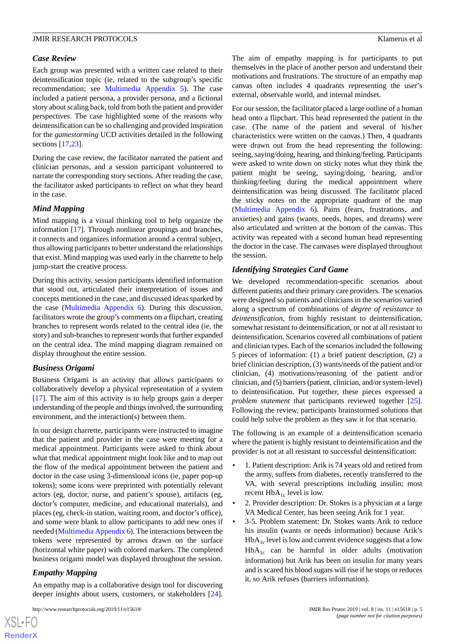#### *Case Review*

Each group was presented with a written case related to their deintensification topic (ie, related to the subgroup's specific recommendation; see [Multimedia Appendix 5\)](#page-10-4). The case included a patient persona, a provider persona, and a fictional story about scaling back, told from both the patient and provider perspectives. The case highlighted some of the reasons why deintensification can be so challenging and provided inspiration for the *gamestorming* UCD activities detailed in the following sections [[17,](#page-11-16)[23](#page-12-3)].

During the case review, the facilitator narrated the patient and clinician personas, and a session participant volunteered to narrate the corresponding story sections. After reading the case, the facilitator asked participants to reflect on what they heard in the case.

## *Mind Mapping*

Mind mapping is a visual thinking tool to help organize the information [\[17](#page-11-16)]. Through nonlinear groupings and branches, it connects and organizes information around a central subject, thus allowing participants to better understand the relationships that exist. Mind mapping was used early in the charrette to help jump-start the creative process.

During this activity, session participants identified information that stood out, articulated their interpretation of issues and concepts mentioned in the case, and discussed ideas sparked by the case ([Multimedia Appendix 6\)](#page-10-5). During this discussion, facilitators wrote the group's comments on a flipchart, creating branches to represent words related to the central idea (ie, the story) and sub-branches to represent words that further expanded on the central idea. The mind mapping diagram remained on display throughout the entire session.

# *Business Origami*

Business Origami is an activity that allows participants to collaboratively develop a physical representation of a system [[17\]](#page-11-16). The aim of this activity is to help groups gain a deeper understanding of the people and things involved, the surrounding environment, and the interaction(s) between them.

In our design charrette, participants were instructed to imagine that the patient and provider in the case were meeting for a medical appointment. Participants were asked to think about what that medical appointment might look like and to map out the flow of the medical appointment between the patient and doctor in the case using 3-dimensional icons (ie, paper pop-up tokens); some icons were preprinted with potentially relevant actors (eg, doctor, nurse, and patient's spouse), artifacts (eg, doctor's computer, medicine, and educational materials), and places (eg, check-in station, waiting room, and doctor's office), and some were blank to allow participants to add new ones if needed ([Multimedia Appendix 6\)](#page-10-5). The interactions between the tokens were represented by arrows drawn on the surface (horizontal white paper) with colored markers. The completed business origami model was displayed throughout the session.

# *Empathy Mapping*

 $XS$ -FO **[RenderX](http://www.renderx.com/)**

An empathy map is a collaborative design tool for discovering deeper insights about users, customers, or stakeholders [[24\]](#page-12-4).

The aim of empathy mapping is for participants to put themselves in the place of another person and understand their motivations and frustrations. The structure of an empathy map canvas often includes 4 quadrants representing the user's external, observable world, and internal mindset.

For our session, the facilitator placed a large outline of a human head onto a flipchart. This head represented the patient in the case. (The name of the patient and several of his/her characteristics were written on the canvas.) Then, 4 quadrants were drawn out from the head representing the following: seeing, saying/doing, hearing, and thinking/feeling. Participants were asked to write down on sticky notes what they think the patient might be seeing, saying/doing, hearing, and/or thinking/feeling during the medical appointment where deintensification was being discussed. The facilitator placed the sticky notes on the appropriate quadrant of the map ([Multimedia Appendix 6](#page-10-5)). Pains (fears, frustrations, and anxieties) and gains (wants, needs, hopes, and dreams) were also articulated and written at the bottom of the canvas. This activity was repeated with a second human head representing the doctor in the case. The canvases were displayed throughout the session.

## *Identifying Strategies Card Game*

We developed recommendation-specific scenarios about different patients and their primary care providers. The scenarios were designed so patients and clinicians in the scenarios varied along a spectrum of combinations of *degree of resistance to deintensification*, from highly resistant to deintensification, somewhat resistant to deintensification, or not at all resistant to deintensification. Scenarios covered all combinations of patient and clinician types. Each of the scenarios included the following 5 pieces of information: (1) a brief patient description, (2) a brief clinician description, (3) wants/needs of the patient and/or clinician, (4) motivations/reasoning of the patient and/or clinician, and (5) barriers (patient, clinician, and/or system-level) to deintensification. Put together, these pieces expressed a *problem statement* that participants reviewed together [[25\]](#page-12-5). Following the review, participants brainstormed solutions that could help solve the problem as they saw it for that scenario.

The following is an example of a deintensification scenario where the patient is highly resistant to deintensification and the provider is not at all resistant to successful deintensification:

- 1. Patient description: Arik is 74 years old and retired from the army, suffers from diabetes, recently transferred to the VA, with several prescriptions including insulin; most recent  $HbA_{1c}$  level is low.
- 2. Provider description: Dr. Stokes is a physician at a large VA Medical Center, has been seeing Arik for 1 year.
- 3-5. Problem statement: Dr. Stokes wants Arik to reduce his insulin (wants or needs information) because Arik's  $HbA<sub>1c</sub>$  level is low and current evidence suggests that a low  $HbA<sub>1c</sub>$  can be harmful in older adults (motivation information) but Arik has been on insulin for many years and is scared his blood sugars will rise if he stops or reduces it, so Arik refuses (barriers information).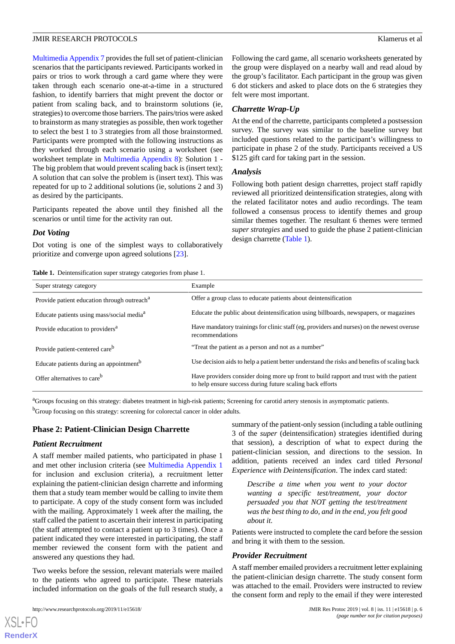[Multimedia Appendix 7](#page-10-6) provides the full set of patient-clinician scenarios that the participants reviewed. Participants worked in pairs or trios to work through a card game where they were taken through each scenario one-at-a-time in a structured fashion, to identify barriers that might prevent the doctor or patient from scaling back, and to brainstorm solutions (ie, strategies) to overcome those barriers. The pairs/trios were asked to brainstorm as many strategies as possible, then work together to select the best 1 to 3 strategies from all those brainstormed. Participants were prompted with the following instructions as they worked through each scenario using a worksheet (see worksheet template in [Multimedia Appendix 8](#page-11-17)): Solution 1 - The big problem that would prevent scaling back is (insert text); A solution that can solve the problem is (insert text). This was repeated for up to 2 additional solutions (ie, solutions 2 and 3) as desired by the participants.

Participants repeated the above until they finished all the scenarios or until time for the activity ran out.

#### *Dot Voting*

<span id="page-5-0"></span>Dot voting is one of the simplest ways to collaboratively prioritize and converge upon agreed solutions [[23\]](#page-12-3).

**Table 1.** Deintensification super strategy categories from phase 1.

Following the card game, all scenario worksheets generated by the group were displayed on a nearby wall and read aloud by the group's facilitator. Each participant in the group was given 6 dot stickers and asked to place dots on the 6 strategies they felt were most important.

#### *Charrette Wrap-Up*

At the end of the charrette, participants completed a postsession survey. The survey was similar to the baseline survey but included questions related to the participant's willingness to participate in phase 2 of the study. Participants received a US \$125 gift card for taking part in the session.

#### *Analysis*

Following both patient design charrettes, project staff rapidly reviewed all prioritized deintensification strategies, along with the related facilitator notes and audio recordings. The team followed a consensus process to identify themes and group similar themes together. The resultant 6 themes were termed *super strategies* and used to guide the phase 2 patient-clinician design charrette [\(Table 1](#page-5-0)).

| Super strategy category                                 | Example                                                                                                                                              |
|---------------------------------------------------------|------------------------------------------------------------------------------------------------------------------------------------------------------|
| Provide patient education through outreach <sup>a</sup> | Offer a group class to educate patients about deintensification                                                                                      |
| Educate patients using mass/social media <sup>a</sup>   | Educate the public about deintensification using billboards, newspapers, or magazines                                                                |
| Provide education to providers <sup>a</sup>             | Have mandatory trainings for clinic staff (eg, providers and nurses) on the newest overuse<br>recommendations                                        |
| Provide patient-centered care <sup>b</sup>              | "Treat the patient as a person and not as a number"                                                                                                  |
| Educate patients during an appointment <sup>b</sup>     | Use decision aids to help a patient better understand the risks and benefits of scaling back                                                         |
| Offer alternatives to care <sup>b</sup>                 | Have providers consider doing more up front to build rapport and trust with the patient<br>to help ensure success during future scaling back efforts |

<sup>a</sup>Groups focusing on this strategy: diabetes treatment in high-risk patients; Screening for carotid artery stenosis in asymptomatic patients. <sup>b</sup>Group focusing on this strategy: screening for colorectal cancer in older adults.

#### **Phase 2: Patient-Clinician Design Charrette**

#### *Patient Recruitment*

A staff member mailed patients, who participated in phase 1 and met other inclusion criteria (see [Multimedia Appendix 1](#page-10-0) for inclusion and exclusion criteria), a recruitment letter explaining the patient-clinician design charrette and informing them that a study team member would be calling to invite them to participate. A copy of the study consent form was included with the mailing. Approximately 1 week after the mailing, the staff called the patient to ascertain their interest in participating (the staff attempted to contact a patient up to 3 times). Once a patient indicated they were interested in participating, the staff member reviewed the consent form with the patient and answered any questions they had.

Two weeks before the session, relevant materials were mailed to the patients who agreed to participate. These materials included information on the goals of the full research study, a

[XSL](http://www.w3.org/Style/XSL)•FO **[RenderX](http://www.renderx.com/)**

summary of the patient-only session (including a table outlining 3 of the *super* (deintensification) strategies identified during that session), a description of what to expect during the patient-clinician session, and directions to the session. In addition, patients received an index card titled *Personal Experience with Deintensification*. The index card stated:

*Describe a time when you went to your doctor wanting a specific test/treatment, your doctor persuaded you that NOT getting the test/treatment was the best thing to do, and in the end, you felt good about it.*

Patients were instructed to complete the card before the session and bring it with them to the session.

#### *Provider Recruitment*

A staff member emailed providers a recruitment letter explaining the patient-clinician design charrette. The study consent form was attached to the email. Providers were instructed to review the consent form and reply to the email if they were interested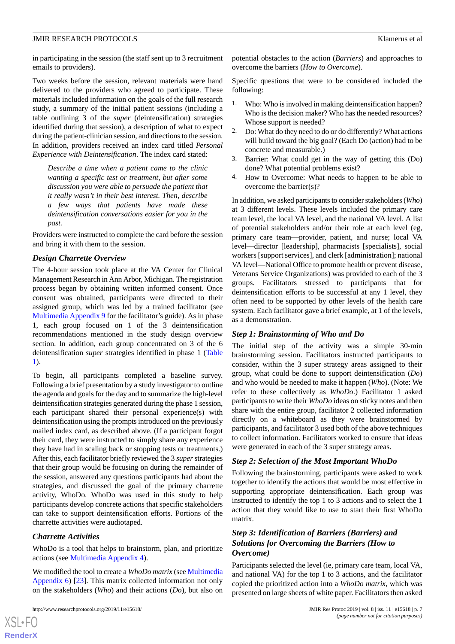in participating in the session (the staff sent up to 3 recruitment emails to providers).

Two weeks before the session, relevant materials were hand delivered to the providers who agreed to participate. These materials included information on the goals of the full research study, a summary of the initial patient sessions (including a table outlining 3 of the *super* (deintensification) strategies identified during that session), a description of what to expect during the patient-clinician session, and directions to the session. In addition, providers received an index card titled *Personal Experience with Deintensification*. The index card stated:

*Describe a time when a patient came to the clinic wanting a specific test or treatment, but after some discussion you were able to persuade the patient that it really wasn't in their best interest. Then, describe a few ways that patients have made these deintensification conversations easier for you in the past.*

Providers were instructed to complete the card before the session and bring it with them to the session.

#### *Design Charrette Overview*

The 4-hour session took place at the VA Center for Clinical Management Research in Ann Arbor, Michigan. The registration process began by obtaining written informed consent. Once consent was obtained, participants were directed to their assigned group, which was led by a trained facilitator (see [Multimedia Appendix 9](#page-11-18) for the facilitator's guide). As in phase 1, each group focused on 1 of the 3 deintensification recommendations mentioned in the study design overview section. In addition, each group concentrated on 3 of the 6 deintensification *super* strategies identified in phase 1 ([Table](#page-5-0) [1\)](#page-5-0).

To begin, all participants completed a baseline survey. Following a brief presentation by a study investigator to outline the agenda and goals for the day and to summarize the high-level deintensification strategies generated during the phase 1 session, each participant shared their personal experience(s) with deintensification using the prompts introduced on the previously mailed index card, as described above. (If a participant forgot their card, they were instructed to simply share any experience they have had in scaling back or stopping tests or treatments.) After this, each facilitator briefly reviewed the 3 *super*strategies that their group would be focusing on during the remainder of the session, answered any questions participants had about the strategies, and discussed the goal of the primary charrette activity, WhoDo. WhoDo was used in this study to help participants develop concrete actions that specific stakeholders can take to support deintensification efforts. Portions of the charrette activities were audiotaped.

#### *Charrette Activities*

 $XSI - F($ **[RenderX](http://www.renderx.com/)**

WhoDo is a tool that helps to brainstorm, plan, and prioritize actions (see [Multimedia Appendix 4](#page-10-3)).

We modified the tool to create a *WhoDo matrix* (see [Multimedia](#page-10-5) [Appendix 6](#page-10-5)) [[23\]](#page-12-3). This matrix collected information not only on the stakeholders (*Who*) and their actions (*Do*), but also on

potential obstacles to the action (*Barriers*) and approaches to overcome the barriers (*How to Overcome*).

Specific questions that were to be considered included the following:

- 1. Who: Who is involved in making deintensification happen? Who is the decision maker? Who has the needed resources? Whose support is needed?
- 2. Do: What do they need to do or do differently? What actions will build toward the big goal? (Each Do (action) had to be concrete and measurable.)
- 3. Barrier: What could get in the way of getting this (Do) done? What potential problems exist?
- 4. How to Overcome: What needs to happen to be able to overcome the barrier(s)?

In addition, we asked participants to consider stakeholders (*Who*) at 3 different levels. These levels included the primary care team level, the local VA level, and the national VA level. A list of potential stakeholders and/or their role at each level (eg, primary care team—provider, patient, and nurse; local VA level—director [leadership], pharmacists [specialists], social workers [support services], and clerk [administration]; national VA level—National Office to promote health or prevent disease, Veterans Service Organizations) was provided to each of the 3 groups. Facilitators stressed to participants that for deintensification efforts to be successful at any 1 level, they often need to be supported by other levels of the health care system. Each facilitator gave a brief example, at 1 of the levels, as a demonstration.

#### *Step 1: Brainstorming of Who and Do*

The initial step of the activity was a simple 30-min brainstorming session. Facilitators instructed participants to consider, within the 3 super strategy areas assigned to their group, what could be done to support deintensification (*Do*) and who would be needed to make it happen (*Who*). (Note: We refer to these collectively as *WhoDo*.) Facilitator 1 asked participants to write their *WhoDo* ideas on sticky notes and then share with the entire group, facilitator 2 collected information directly on a whiteboard as they were brainstormed by participants, and facilitator 3 used both of the above techniques to collect information. Facilitators worked to ensure that ideas were generated in each of the 3 super strategy areas.

#### *Step 2: Selection of the Most Important WhoDo*

Following the brainstorming, participants were asked to work together to identify the actions that would be most effective in supporting appropriate deintensification. Each group was instructed to identify the top 1 to 3 actions and to select the 1 action that they would like to use to start their first WhoDo matrix.

# *Step 3: Identification of Barriers (Barriers) and Solutions for Overcoming the Barriers (How to Overcome)*

Participants selected the level (ie, primary care team, local VA, and national VA) for the top 1 to 3 actions, and the facilitator copied the prioritized action into a *WhoDo matrix*, which was presented on large sheets of white paper. Facilitators then asked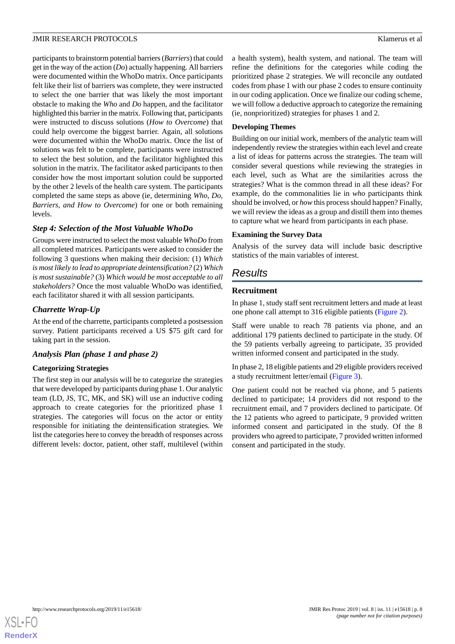participants to brainstorm potential barriers (*Barriers*) that could get in the way of the action (*Do*) actually happening. All barriers were documented within the WhoDo matrix. Once participants felt like their list of barriers was complete, they were instructed to select the one barrier that was likely the most important obstacle to making the *Who* and *Do* happen, and the facilitator highlighted this barrier in the matrix. Following that, participants were instructed to discuss solutions (*How to Overcome*) that could help overcome the biggest barrier. Again, all solutions were documented within the WhoDo matrix. Once the list of solutions was felt to be complete, participants were instructed to select the best solution, and the facilitator highlighted this solution in the matrix. The facilitator asked participants to then consider how the most important solution could be supported by the other 2 levels of the health care system. The participants completed the same steps as above (ie, determining *Who*, *Do, Barriers, and How to Overcome*) for one or both remaining levels.

# *Step 4: Selection of the Most Valuable WhoDo*

Groups were instructed to select the most valuable *WhoDo* from all completed matrices. Participants were asked to consider the following 3 questions when making their decision: (1) *Which is most likely to lead to appropriate deintensification?* (2) *Which is most sustainable?* (3) *Which would be most acceptable to all stakeholders?* Once the most valuable WhoDo was identified, each facilitator shared it with all session participants.

# *Charrette Wrap-Up*

At the end of the charrette, participants completed a postsession survey. Patient participants received a US \$75 gift card for taking part in the session.

# *Analysis Plan (phase 1 and phase 2)*

#### **Categorizing Strategies**

The first step in our analysis will be to categorize the strategies that were developed by participants during phase 1. Our analytic team (LD, JS, TC, MK, and SK) will use an inductive coding approach to create categories for the prioritized phase 1 strategies. The categories will focus on the actor or entity responsible for initiating the deintensification strategies. We list the categories here to convey the breadth of responses across different levels: doctor, patient, other staff, multilevel (within

a health system), health system, and national. The team will refine the definitions for the categories while coding the prioritized phase 2 strategies. We will reconcile any outdated codes from phase 1 with our phase 2 codes to ensure continuity in our coding application. Once we finalize our coding scheme, we will follow a deductive approach to categorize the remaining (ie, nonprioritized) strategies for phases 1 and 2.

#### **Developing Themes**

Building on our initial work, members of the analytic team will independently review the strategies within each level and create a list of ideas for patterns across the strategies. The team will consider several questions while reviewing the strategies in each level, such as What are the similarities across the strategies? What is the common thread in all these ideas? For example, do the commonalities lie in *who* participants think should be involved, or *how* this process should happen? Finally, we will review the ideas as a group and distill them into themes to capture what we heard from participants in each phase.

## **Examining the Survey Data**

Analysis of the survey data will include basic descriptive statistics of the main variables of interest.

# *Results*

# **Recruitment**

In phase 1, study staff sent recruitment letters and made at least one phone call attempt to 316 eligible patients [\(Figure 2\)](#page-8-0).

Staff were unable to reach 78 patients via phone, and an additional 179 patients declined to participate in the study. Of the 59 patients verbally agreeing to participate, 35 provided written informed consent and participated in the study.

In phase 2, 18 eligible patients and 29 eligible providers received a study recruitment letter/email ([Figure 3](#page-9-0)).

One patient could not be reached via phone, and 5 patients declined to participate; 14 providers did not respond to the recruitment email, and 7 providers declined to participate. Of the 12 patients who agreed to participate, 9 provided written informed consent and participated in the study. Of the 8 providers who agreed to participate, 7 provided written informed consent and participated in the study.

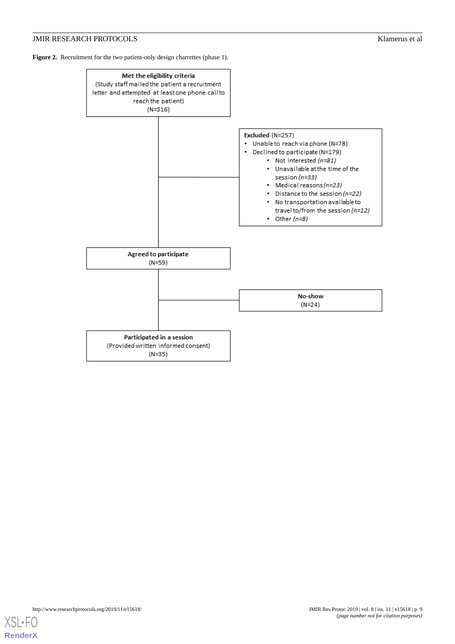<span id="page-8-0"></span>Figure 2. Recruitment for the two patient-only design charrettes (phase 1).

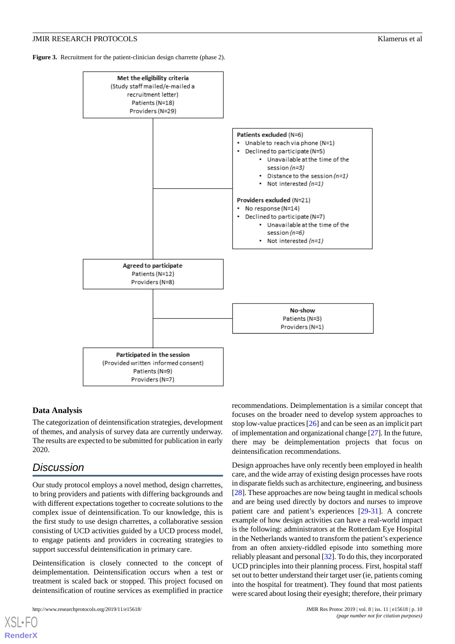<span id="page-9-0"></span>**Figure 3.** Recruitment for the patient-clinician design charrette (phase 2).



# **Data Analysis**

The categorization of deintensification strategies, development of themes, and analysis of survey data are currently underway. The results are expected to be submitted for publication in early 2020.

# *Discussion*

[XSL](http://www.w3.org/Style/XSL)•FO **[RenderX](http://www.renderx.com/)**

Our study protocol employs a novel method, design charrettes, to bring providers and patients with differing backgrounds and with different expectations together to cocreate solutions to the complex issue of deintensification. To our knowledge, this is the first study to use design charrettes, a collaborative session consisting of UCD activities guided by a UCD process model, to engage patients and providers in cocreating strategies to support successful deintensification in primary care.

Deintensification is closely connected to the concept of deimplementation. Deintensification occurs when a test or treatment is scaled back or stopped. This project focused on deintensification of routine services as exemplified in practice recommendations. Deimplementation is a similar concept that focuses on the broader need to develop system approaches to stop low-value practices [\[26](#page-12-6)] and can be seen as an implicit part of implementation and organizational change [\[27\]](#page-12-7). In the future, there may be deimplementation projects that focus on deintensification recommendations.

Design approaches have only recently been employed in health care, and the wide array of existing design processes have roots in disparate fields such as architecture, engineering, and business [[28\]](#page-12-8). These approaches are now being taught in medical schools and are being used directly by doctors and nurses to improve patient care and patient's experiences [\[29](#page-12-9)-[31\]](#page-12-10). A concrete example of how design activities can have a real-world impact is the following: administrators at the Rotterdam Eye Hospital in the Netherlands wanted to transform the patient's experience from an often anxiety-riddled episode into something more reliably pleasant and personal [\[32](#page-12-11)]. To do this, they incorporated UCD principles into their planning process. First, hospital staff set out to better understand their target user (ie, patients coming into the hospital for treatment). They found that most patients were scared about losing their eyesight; therefore, their primary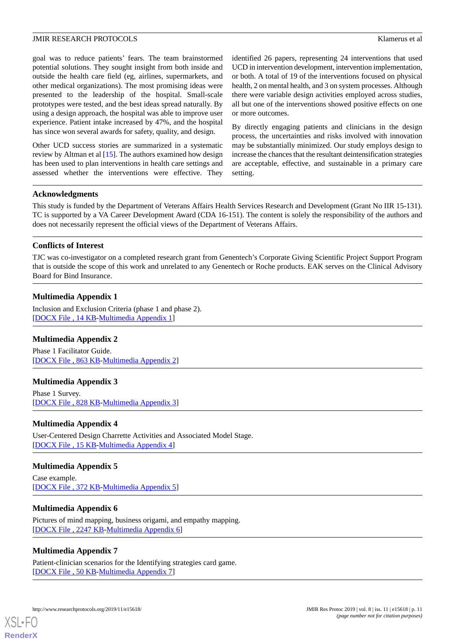goal was to reduce patients' fears. The team brainstormed potential solutions. They sought insight from both inside and outside the health care field (eg, airlines, supermarkets, and other medical organizations). The most promising ideas were presented to the leadership of the hospital. Small-scale prototypes were tested, and the best ideas spread naturally. By using a design approach, the hospital was able to improve user experience. Patient intake increased by 47%, and the hospital has since won several awards for safety, quality, and design.

Other UCD success stories are summarized in a systematic review by Altman et al [\[15](#page-11-12)]. The authors examined how design has been used to plan interventions in health care settings and assessed whether the interventions were effective. They

identified 26 papers, representing 24 interventions that used UCD in intervention development, intervention implementation, or both. A total of 19 of the interventions focused on physical health, 2 on mental health, and 3 on system processes. Although there were variable design activities employed across studies, all but one of the interventions showed positive effects on one or more outcomes.

By directly engaging patients and clinicians in the design process, the uncertainties and risks involved with innovation may be substantially minimized. Our study employs design to increase the chances that the resultant deintensification strategies are acceptable, effective, and sustainable in a primary care setting.

## **Acknowledgments**

This study is funded by the Department of Veterans Affairs Health Services Research and Development (Grant No IIR 15-131). TC is supported by a VA Career Development Award (CDA 16-151). The content is solely the responsibility of the authors and does not necessarily represent the official views of the Department of Veterans Affairs.

# **Conflicts of Interest**

<span id="page-10-0"></span>TJC was co-investigator on a completed research grant from Genentech's Corporate Giving Scientific Project Support Program that is outside the scope of this work and unrelated to any Genentech or Roche products. EAK serves on the Clinical Advisory Board for Bind Insurance.

# **Multimedia Appendix 1**

<span id="page-10-1"></span>Inclusion and Exclusion Criteria (phase 1 and phase 2). [[DOCX File , 14 KB](https://jmir.org/api/download?alt_name=resprot_v8i11e15618_app1.docx&filename=e3845f342cdc73a81cb4a3f44c7931c8.docx)-[Multimedia Appendix 1\]](https://jmir.org/api/download?alt_name=resprot_v8i11e15618_app1.docx&filename=e3845f342cdc73a81cb4a3f44c7931c8.docx)

# <span id="page-10-2"></span>**Multimedia Appendix 2**

Phase 1 Facilitator Guide. [[DOCX File , 863 KB-Multimedia Appendix 2\]](https://jmir.org/api/download?alt_name=resprot_v8i11e15618_app2.docx&filename=b296f4c24aeca139f08a6376d581a683.docx)

# <span id="page-10-3"></span>**Multimedia Appendix 3**

Phase 1 Survey. [[DOCX File , 828 KB-Multimedia Appendix 3\]](https://jmir.org/api/download?alt_name=resprot_v8i11e15618_app3.docx&filename=7a774ebecdd1f1d0e6d38878456fb139.docx)

#### <span id="page-10-4"></span>**Multimedia Appendix 4**

User-Centered Design Charrette Activities and Associated Model Stage. [[DOCX File , 15 KB](https://jmir.org/api/download?alt_name=resprot_v8i11e15618_app4.docx&filename=3164c71f2202631ca6d32a815c26f66b.docx)-[Multimedia Appendix 4\]](https://jmir.org/api/download?alt_name=resprot_v8i11e15618_app4.docx&filename=3164c71f2202631ca6d32a815c26f66b.docx)

#### <span id="page-10-5"></span>**Multimedia Appendix 5**

Case example. [[DOCX File , 372 KB-Multimedia Appendix 5\]](https://jmir.org/api/download?alt_name=resprot_v8i11e15618_app5.docx&filename=033276edbdbc45de7404c964e23f4a77.docx)

# <span id="page-10-6"></span>**Multimedia Appendix 6**

Pictures of mind mapping, business origami, and empathy mapping. [[DOCX File , 2247 KB](https://jmir.org/api/download?alt_name=resprot_v8i11e15618_app6.docx&filename=49ba59faaa83fdd5b33b34fd35792dfa.docx)-[Multimedia Appendix 6\]](https://jmir.org/api/download?alt_name=resprot_v8i11e15618_app6.docx&filename=49ba59faaa83fdd5b33b34fd35792dfa.docx)

# **Multimedia Appendix 7**

Patient-clinician scenarios for the Identifying strategies card game. [[DOCX File , 50 KB](https://jmir.org/api/download?alt_name=resprot_v8i11e15618_app7.docx&filename=6c7cc7da478b4c4f7eb130646b4efa8d.docx)-[Multimedia Appendix 7\]](https://jmir.org/api/download?alt_name=resprot_v8i11e15618_app7.docx&filename=6c7cc7da478b4c4f7eb130646b4efa8d.docx)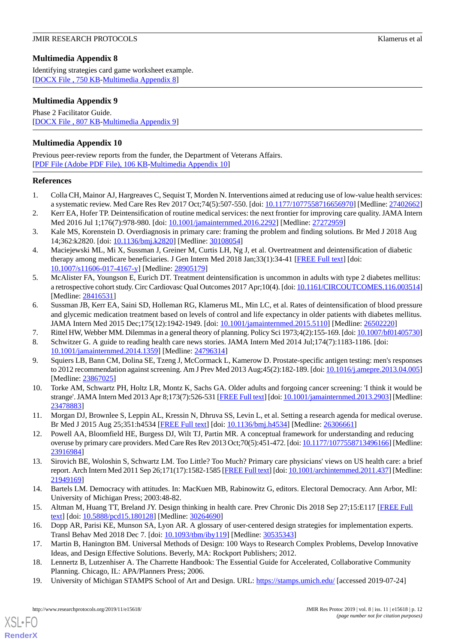# <span id="page-11-17"></span>**Multimedia Appendix 8**

Identifying strategies card game worksheet example. [[DOCX File , 750 KB-Multimedia Appendix 8\]](https://jmir.org/api/download?alt_name=resprot_v8i11e15618_app8.docx&filename=9c66bc53f41092d49a0a7b1f78afbc22.docx)

# <span id="page-11-18"></span>**Multimedia Appendix 9**

Phase 2 Facilitator Guide. [[DOCX File , 807 KB-Multimedia Appendix 9\]](https://jmir.org/api/download?alt_name=resprot_v8i11e15618_app9.docx&filename=4c145e7c7070293d75e8ff0d6eca2b07.docx)

# **Multimedia Appendix 10**

Previous peer-review reports from the funder, the Department of Veterans Affairs. [[PDF File \(Adobe PDF File\), 106 KB](https://jmir.org/api/download?alt_name=resprot_v8i11e15618_app10.pdf&filename=839bddbdc502e5d3da12edfe2a81ed5c.pdf)-[Multimedia Appendix 10\]](https://jmir.org/api/download?alt_name=resprot_v8i11e15618_app10.pdf&filename=839bddbdc502e5d3da12edfe2a81ed5c.pdf)

# <span id="page-11-0"></span>**References**

- <span id="page-11-1"></span>1. Colla CH, Mainor AJ, Hargreaves C, Sequist T, Morden N. Interventions aimed at reducing use of low-value health services: a systematic review. Med Care Res Rev 2017 Oct;74(5):507-550. [doi: [10.1177/1077558716656970](http://dx.doi.org/10.1177/1077558716656970)] [Medline: [27402662](http://www.ncbi.nlm.nih.gov/entrez/query.fcgi?cmd=Retrieve&db=PubMed&list_uids=27402662&dopt=Abstract)]
- <span id="page-11-2"></span>2. Kerr EA, Hofer TP. Deintensification of routine medical services: the next frontier for improving care quality. JAMA Intern Med 2016 Jul 1;176(7):978-980. [doi: [10.1001/jamainternmed.2016.2292](http://dx.doi.org/10.1001/jamainternmed.2016.2292)] [Medline: [27272959](http://www.ncbi.nlm.nih.gov/entrez/query.fcgi?cmd=Retrieve&db=PubMed&list_uids=27272959&dopt=Abstract)]
- <span id="page-11-3"></span>3. Kale MS, Korenstein D. Overdiagnosis in primary care: framing the problem and finding solutions. Br Med J 2018 Aug 14;362:k2820. [doi: [10.1136/bmj.k2820\]](http://dx.doi.org/10.1136/bmj.k2820) [Medline: [30108054\]](http://www.ncbi.nlm.nih.gov/entrez/query.fcgi?cmd=Retrieve&db=PubMed&list_uids=30108054&dopt=Abstract)
- 4. Maciejewski ML, Mi X, Sussman J, Greiner M, Curtis LH, Ng J, et al. Overtreatment and deintensification of diabetic therapy among medicare beneficiaries. J Gen Intern Med 2018 Jan;33(1):34-41 [[FREE Full text](http://europepmc.org/abstract/MED/28905179)] [doi: [10.1007/s11606-017-4167-y\]](http://dx.doi.org/10.1007/s11606-017-4167-y) [Medline: [28905179](http://www.ncbi.nlm.nih.gov/entrez/query.fcgi?cmd=Retrieve&db=PubMed&list_uids=28905179&dopt=Abstract)]
- <span id="page-11-4"></span>5. McAlister FA, Youngson E, Eurich DT. Treatment deintensification is uncommon in adults with type 2 diabetes mellitus: a retrospective cohort study. Circ Cardiovasc Qual Outcomes 2017 Apr;10(4). [doi: [10.1161/CIRCOUTCOMES.116.003514\]](http://dx.doi.org/10.1161/CIRCOUTCOMES.116.003514) [Medline: [28416531](http://www.ncbi.nlm.nih.gov/entrez/query.fcgi?cmd=Retrieve&db=PubMed&list_uids=28416531&dopt=Abstract)]
- <span id="page-11-6"></span><span id="page-11-5"></span>6. Sussman JB, Kerr EA, Saini SD, Holleman RG, Klamerus ML, Min LC, et al. Rates of deintensification of blood pressure and glycemic medication treatment based on levels of control and life expectancy in older patients with diabetes mellitus. JAMA Intern Med 2015 Dec;175(12):1942-1949. [doi: [10.1001/jamainternmed.2015.5110\]](http://dx.doi.org/10.1001/jamainternmed.2015.5110) [Medline: [26502220](http://www.ncbi.nlm.nih.gov/entrez/query.fcgi?cmd=Retrieve&db=PubMed&list_uids=26502220&dopt=Abstract)]
- 7. Rittel HW, Webber MM. Dilemmas in a general theory of planning. Policy Sci 1973;4(2):155-169. [doi: [10.1007/bf01405730](http://dx.doi.org/10.1007/bf01405730)]
- <span id="page-11-7"></span>8. Schwitzer G. A guide to reading health care news stories. JAMA Intern Med 2014 Jul;174(7):1183-1186. [doi: [10.1001/jamainternmed.2014.1359\]](http://dx.doi.org/10.1001/jamainternmed.2014.1359) [Medline: [24796314\]](http://www.ncbi.nlm.nih.gov/entrez/query.fcgi?cmd=Retrieve&db=PubMed&list_uids=24796314&dopt=Abstract)
- <span id="page-11-8"></span>9. Squiers LB, Bann CM, Dolina SE, Tzeng J, McCormack L, Kamerow D. Prostate-specific antigen testing: men's responses to 2012 recommendation against screening. Am J Prev Med 2013 Aug;45(2):182-189. [doi: [10.1016/j.amepre.2013.04.005](http://dx.doi.org/10.1016/j.amepre.2013.04.005)] [Medline: [23867025](http://www.ncbi.nlm.nih.gov/entrez/query.fcgi?cmd=Retrieve&db=PubMed&list_uids=23867025&dopt=Abstract)]
- <span id="page-11-9"></span>10. Torke AM, Schwartz PH, Holtz LR, Montz K, Sachs GA. Older adults and forgoing cancer screening: 'I think it would be strange'. JAMA Intern Med 2013 Apr 8;173(7):526-531 [[FREE Full text\]](http://europepmc.org/abstract/MED/23478883) [doi: [10.1001/jamainternmed.2013.2903\]](http://dx.doi.org/10.1001/jamainternmed.2013.2903) [Medline: [23478883](http://www.ncbi.nlm.nih.gov/entrez/query.fcgi?cmd=Retrieve&db=PubMed&list_uids=23478883&dopt=Abstract)]
- <span id="page-11-10"></span>11. Morgan DJ, Brownlee S, Leppin AL, Kressin N, Dhruva SS, Levin L, et al. Setting a research agenda for medical overuse. Br Med J 2015 Aug 25;351:h4534 [[FREE Full text](http://europepmc.org/abstract/MED/26306661)] [doi: [10.1136/bmj.h4534\]](http://dx.doi.org/10.1136/bmj.h4534) [Medline: [26306661\]](http://www.ncbi.nlm.nih.gov/entrez/query.fcgi?cmd=Retrieve&db=PubMed&list_uids=26306661&dopt=Abstract)
- <span id="page-11-11"></span>12. Powell AA, Bloomfield HE, Burgess DJ, Wilt TJ, Partin MR. A conceptual framework for understanding and reducing overuse by primary care providers. Med Care Res Rev 2013 Oct;70(5):451-472. [doi: [10.1177/1077558713496166](http://dx.doi.org/10.1177/1077558713496166)] [Medline: [23916984](http://www.ncbi.nlm.nih.gov/entrez/query.fcgi?cmd=Retrieve&db=PubMed&list_uids=23916984&dopt=Abstract)]
- <span id="page-11-13"></span><span id="page-11-12"></span>13. Sirovich BE, Woloshin S, Schwartz LM. Too Little? Too Much? Primary care physicians' views on US health care: a brief report. Arch Intern Med 2011 Sep 26;171(17):1582-1585 [[FREE Full text](http://europepmc.org/abstract/MED/21949169)] [doi: [10.1001/archinternmed.2011.437\]](http://dx.doi.org/10.1001/archinternmed.2011.437) [Medline: [21949169](http://www.ncbi.nlm.nih.gov/entrez/query.fcgi?cmd=Retrieve&db=PubMed&list_uids=21949169&dopt=Abstract)]
- <span id="page-11-16"></span>14. Bartels LM. Democracy with attitudes. In: MacKuen MB, Rabinowitz G, editors. Electoral Democracy. Ann Arbor, MI: University of Michigan Press; 2003:48-82.
- <span id="page-11-14"></span>15. Altman M, Huang TT, Breland JY. Design thinking in health care. Prev Chronic Dis 2018 Sep 27;15:E117 [\[FREE Full](https://www.cdc.gov/pcd/issues/2018/18_0128.htm) [text](https://www.cdc.gov/pcd/issues/2018/18_0128.htm)] [doi: [10.5888/pcd15.180128\]](http://dx.doi.org/10.5888/pcd15.180128) [Medline: [30264690\]](http://www.ncbi.nlm.nih.gov/entrez/query.fcgi?cmd=Retrieve&db=PubMed&list_uids=30264690&dopt=Abstract)
- <span id="page-11-15"></span>16. Dopp AR, Parisi KE, Munson SA, Lyon AR. A glossary of user-centered design strategies for implementation experts. Transl Behav Med 2018 Dec 7. [doi: [10.1093/tbm/iby119\]](http://dx.doi.org/10.1093/tbm/iby119) [Medline: [30535343\]](http://www.ncbi.nlm.nih.gov/entrez/query.fcgi?cmd=Retrieve&db=PubMed&list_uids=30535343&dopt=Abstract)
- 17. Martin B, Hanington BM. Universal Methods of Design: 100 Ways to Research Complex Problems, Develop Innovative Ideas, and Design Effective Solutions. Beverly, MA: Rockport Publishers; 2012.
- 18. Lennertz B, Lutzenhiser A. The Charrette Handbook: The Essential Guide for Accelerated, Collaborative Community Planning. Chicago, IL: APA/Planners Press; 2006.
- 19. University of Michigan STAMPS School of Art and Design. URL:<https://stamps.umich.edu/> [accessed 2019-07-24]